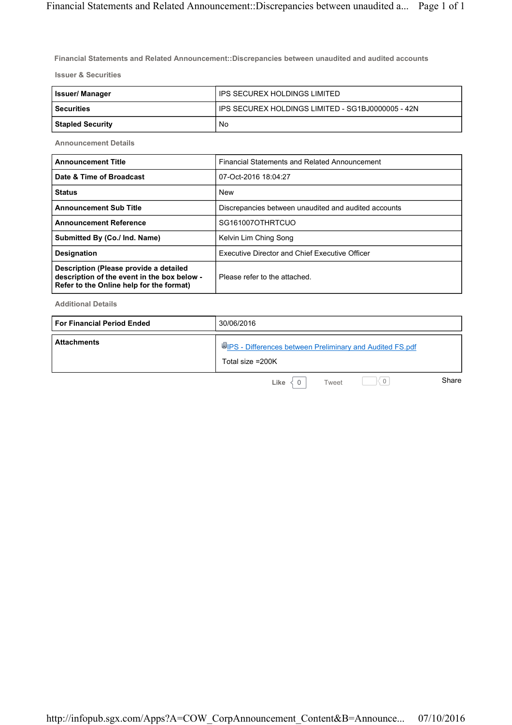**Financial Statements and Related Announcement::Discrepancies between unaudited and audited accounts**

**Issuer & Securities**

| <b>Issuer/Manager</b>   | IPS SECUREX HOLDINGS LIMITED                        |
|-------------------------|-----------------------------------------------------|
| l Securities            | I IPS SECUREX HOLDINGS LIMITED - SG1BJ0000005 - 42N |
| <b>Stapled Security</b> | No                                                  |

**Announcement Details**

| <b>Announcement Title</b>                                                                                                         | Financial Statements and Related Announcement         |
|-----------------------------------------------------------------------------------------------------------------------------------|-------------------------------------------------------|
| Date & Time of Broadcast                                                                                                          | 07-Oct-2016 18:04:27                                  |
| <b>Status</b>                                                                                                                     | <b>New</b>                                            |
| <b>Announcement Sub Title</b>                                                                                                     | Discrepancies between unaudited and audited accounts  |
| <b>Announcement Reference</b>                                                                                                     | SG161007OTHRTCUO                                      |
| Submitted By (Co./ Ind. Name)                                                                                                     | Kelvin Lim Ching Song                                 |
| <b>Designation</b>                                                                                                                | <b>Executive Director and Chief Executive Officer</b> |
| Description (Please provide a detailed<br>description of the event in the box below -<br>Refer to the Online help for the format) | Please refer to the attached.                         |

**Additional Details**

| <b>For Financial Period Ended</b> | 30/06/2016                                                                   |
|-----------------------------------|------------------------------------------------------------------------------|
| <b>Attachments</b>                | UPS - Differences between Preliminary and Audited FS.pdf<br>Total size =200K |
|                                   | Share<br>$\mathbf 0$<br>Like<br>Tweet                                        |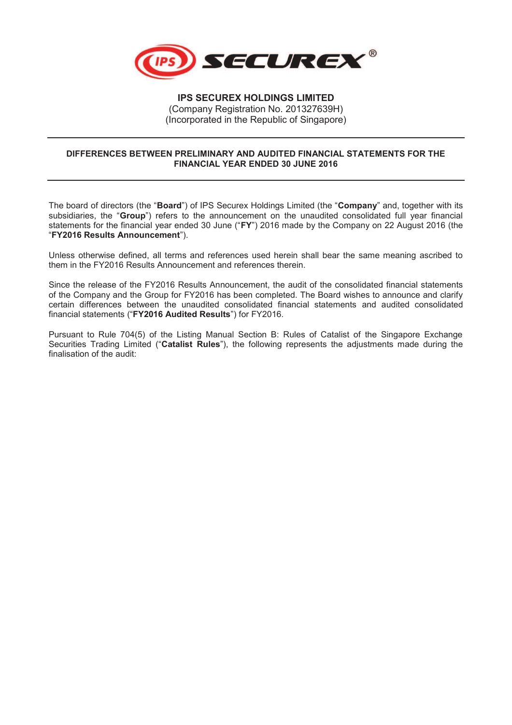

**IPS SECUREX HOLDINGS LIMITED**  (Company Registration No. 201327639H) (Incorporated in the Republic of Singapore)

## **DIFFERENCES BETWEEN PRELIMINARY AND AUDITED FINANCIAL STATEMENTS FOR THE FINANCIAL YEAR ENDED 30 JUNE 2016**

The board of directors (the "**Board**") of IPS Securex Holdings Limited (the "**Company**" and, together with its subsidiaries, the "**Group**") refers to the announcement on the unaudited consolidated full year financial statements for the financial year ended 30 June ("**FY**") 2016 made by the Company on 22 August 2016 (the "**FY2016 Results Announcement**").

Unless otherwise defined, all terms and references used herein shall bear the same meaning ascribed to them in the FY2016 Results Announcement and references therein.

Since the release of the FY2016 Results Announcement, the audit of the consolidated financial statements of the Company and the Group for FY2016 has been completed. The Board wishes to announce and clarify certain differences between the unaudited consolidated financial statements and audited consolidated financial statements ("**FY2016 Audited Results**") for FY2016.

Pursuant to Rule 704(5) of the Listing Manual Section B: Rules of Catalist of the Singapore Exchange Securities Trading Limited ("**Catalist Rules**"), the following represents the adjustments made during the finalisation of the audit: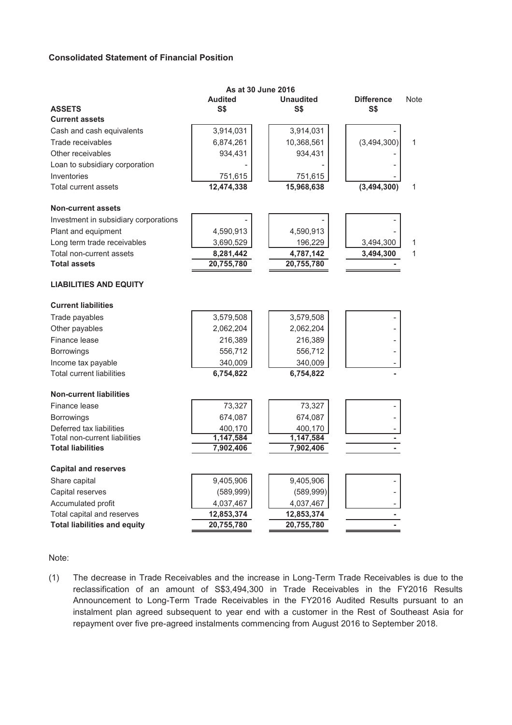## **Consolidated Statement of Financial Position**

|                                       | As at 30 June 2016 |                  |                          |      |
|---------------------------------------|--------------------|------------------|--------------------------|------|
|                                       | <b>Audited</b>     | <b>Unaudited</b> | <b>Difference</b>        | Note |
| <b>ASSETS</b>                         | <b>S\$</b>         | S\$              | S\$                      |      |
| <b>Current assets</b>                 |                    |                  |                          |      |
| Cash and cash equivalents             | 3,914,031          | 3,914,031        |                          |      |
| Trade receivables                     | 6,874,261          | 10,368,561       | (3,494,300)              | 1    |
| Other receivables                     | 934,431            | 934,431          |                          |      |
| Loan to subsidiary corporation        |                    |                  |                          |      |
| Inventories                           | 751,615            | 751,615          |                          |      |
| Total current assets                  | 12,474,338         | 15,968,638       | (3,494,300)              | 1    |
| <b>Non-current assets</b>             |                    |                  |                          |      |
| Investment in subsidiary corporations |                    |                  |                          |      |
| Plant and equipment                   | 4,590,913          | 4,590,913        |                          |      |
| Long term trade receivables           | 3,690,529          | 196,229          | 3,494,300                | 1    |
| Total non-current assets              | 8,281,442          | 4,787,142        | 3,494,300                | 1    |
| <b>Total assets</b>                   | 20,755,780         | 20,755,780       |                          |      |
| <b>LIABILITIES AND EQUITY</b>         |                    |                  |                          |      |
| <b>Current liabilities</b>            |                    |                  |                          |      |
| Trade payables                        | 3,579,508          | 3,579,508        |                          |      |
| Other payables                        | 2,062,204          | 2,062,204        |                          |      |
| Finance lease                         | 216,389            | 216,389          |                          |      |
| Borrowings                            | 556,712            | 556,712          | $\overline{\phantom{0}}$ |      |
| Income tax payable                    | 340,009            | 340,009          |                          |      |
| <b>Total current liabilities</b>      | 6,754,822          | 6,754,822        |                          |      |
| <b>Non-current liabilities</b>        |                    |                  |                          |      |
| Finance lease                         | 73,327             | 73,327           |                          |      |
| <b>Borrowings</b>                     | 674,087            | 674,087          |                          |      |
| Deferred tax liabilities              | 400,170            | 400,170          |                          |      |
| Total non-current liabilities         | 1,147,584          | 1,147,584        |                          |      |
| <b>Total liabilities</b>              | 7,902,406          | 7,902,406        |                          |      |
| <b>Capital and reserves</b>           |                    |                  |                          |      |
| Share capital                         | 9,405,906          | 9,405,906        |                          |      |
| Capital reserves                      | (589, 999)         | (589, 999)       |                          |      |
| Accumulated profit                    | 4,037,467          | 4,037,467        |                          |      |
| Total capital and reserves            | 12,853,374         | 12,853,374       |                          |      |
| <b>Total liabilities and equity</b>   | 20,755,780         | 20,755,780       |                          |      |
|                                       |                    |                  |                          |      |

Note:

(1) The decrease in Trade Receivables and the increase in Long-Term Trade Receivables is due to the reclassification of an amount of S\$3,494,300 in Trade Receivables in the FY2016 Results Announcement to Long-Term Trade Receivables in the FY2016 Audited Results pursuant to an instalment plan agreed subsequent to year end with a customer in the Rest of Southeast Asia for repayment over five pre-agreed instalments commencing from August 2016 to September 2018.